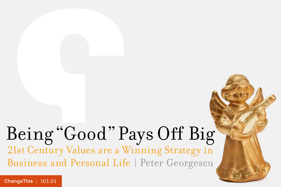## Being "Good" Pays Off Big 21st Century Values are a Winning Strategy in Business and Personal Life | Peter Georgescu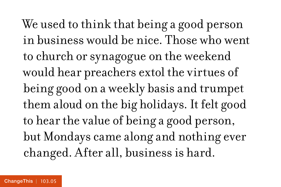We used to think that being a good person in business would be nice. Those who went to church or synagogue on the weekend would hear preachers extol the virtues of being good on a weekly basis and trumpet them aloud on the big holidays. It felt good to hear the value of being a good person, but Mondays came along and nothing ever changed. After all, business is hard.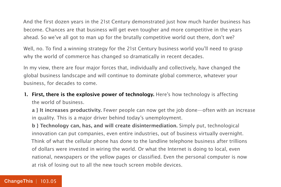And the first dozen years in the 21st Century demonstrated just how much harder business has become. Chances are that business will get even tougher and more competitive in the years ahead. So we've all got to man up for the brutally competitive world out there, don't we?

Well, no. To find a winning strategy for the 21st Century business world you'll need to grasp why the world of commerce has changed so dramatically in recent decades.

In my view, there are four major forces that, individually and collectively, have changed the global business landscape and will continue to dominate global commerce, whatever your business, for decades to come.

**1. First, there is the explosive power of technology.** Here's how technology is affecting the world of business.

**a } It increases productivity.** Fewer people can now get the job done—often with an increase in quality. This is a major driver behind today's unemployment.

**b } Technology can, has, and will create disintermediation.** Simply put, technological innovation can put companies, even entire industries, out of business virtually overnight. Think of what the cellular phone has done to the landline telephone business after trillions of dollars were invested in wiring the world. Or what the Internet is doing to local, even national, newspapers or the yellow pages or classified. Even the personal computer is now at risk of losing out to all the new touch screen mobile devices.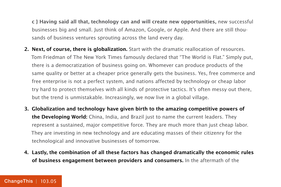**c } Having said all that, technology can and will create new opportunities,** new successful businesses big and small. Just think of Amazon, Google, or Apple. And there are still thousands of business ventures sprouting across the land every day.

- **2. Next, of course, there is globalization.** Start with the dramatic reallocation of resources. Tom Friedman of The New York Times famously declared that "The World is Flat." Simply put, there is a democratization of business going on. Whomever can produce products of the same quality or better at a cheaper price generally gets the business. Yes, free commerce and free enterprise is not a perfect system, and nations affected by technology or cheap labor try hard to protect themselves with all kinds of protective tactics. It's often messy out there, but the trend is unmistakable. Increasingly, we now live in a global village.
- **3. Globalization and technology have given birth to the amazing competitive powers of the Developing World:** China, India, and Brazil just to name the current leaders. They represent a sustained, major competitive force. They are much more than just cheap labor. They are investing in new technology and are educating masses of their citizenry for the technological and innovative businesses of tomorrow.
- **4. Lastly, the combination of all these factors has changed dramatically the economic rules of business engagement between providers and consumers.** In the aftermath of the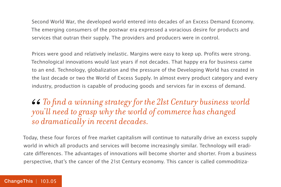Second World War, the developed world entered into decades of an Excess Demand Economy. The emerging consumers of the postwar era expressed a voracious desire for products and services that outran their supply. The providers and producers were in control.

Prices were good and relatively inelastic. Margins were easy to keep up. Profits were strong. Technological innovations would last years if not decades. That happy era for business came to an end. Technology, globalization and the pressure of the Developing World has created in the last decade or two the World of Excess Supply. In almost every product category and every industry, production is capable of producing goods and services far in excess of demand.

*To find a winning strategy for the 21st Century business world you'll need to grasp why the world of commerce has changed so dramatically in recent decades.* 66<br>*yo*<br>so

Today, these four forces of free market capitalism will continue to naturally drive an excess supply world in which all products and services will become increasingly similar. Technology will eradicate differences. The advantages of innovations will become shorter and shorter. From a business perspective, that's the cancer of the 21st Century economy. This cancer is called commoditiza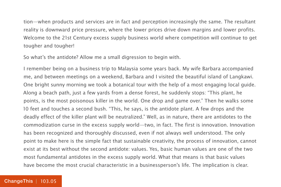tion—when products and services are in fact and perception increasingly the same. The resultant reality is downward price pressure, where the lower prices drive down margins and lower profits. Welcome to the 21st Century excess supply business world where competition will continue to get tougher and tougher!

So what's the antidote? Allow me a small digression to begin with.

I remember being on a business trip to Malaysia some years back. My wife Barbara accompanied me, and between meetings on a weekend, Barbara and I visited the beautiful island of Langkawi. One bright sunny morning we took a botanical tour with the help of a most engaging local guide. Along a beach path, just a few yards from a dense forest, he suddenly stops: "This plant, he points, is the most poisonous killer in the world. One drop and game over." Then he walks some 10 feet and touches a second bush. "This, he says, is the antidote plant. A few drops and the deadly effect of the killer plant will be neutralized." Well, as in nature, there are antidotes to the commodization curse in the excess supply world—two, in fact. The first is innovation. Innovation has been recognized and thoroughly discussed, even if not always well understood. The only point to make here is the simple fact that sustainable creativity, the process of innovation, cannot exist at its best without the second antidote: values. Yes, basic human values are one of the two most fundamental antidotes in the excess supply world. What that means is that basic values have become the most crucial characteristic in a businessperson's life. The implication is clear.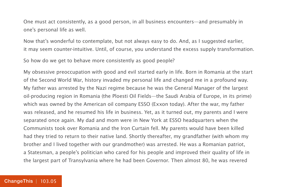One must act consistently, as a good person, in all business encounters—and presumably in one's personal life as well.

Now that's wonderful to contemplate, but not always easy to do. And, as I suggested earlier, it may seem counter-intuitive. Until, of course, you understand the excess supply transformation.

So how do we get to behave more consistently as good people?

My obsessive preoccupation with good and evil started early in life. Born in Romania at the start of the Second World War, history invaded my personal life and changed me in a profound way. My father was arrested by the Nazi regime because he was the General Manager of the largest oil-producing region in Romania (the Ploesti Oil Fields—the Saudi Arabia of Europe, in its prime) which was owned by the American oil company ESSO (Exxon today). After the war, my father was released, and he resumed his life in business. Yet, as it turned out, my parents and I were separated once again. My dad and mom were in New York at ESSO headquarters when the Communists took over Romania and the Iron Curtain fell. My parents would have been killed had they tried to return to their native land. Shortly thereafter, my grandfather (with whom my brother and I lived together with our grandmother) was arrested. He was a Romanian patriot, a Statesman, a people's politician who cared for his people and improved their quality of life in the largest part of Transylvania where he had been Governor. Then almost 80, he was revered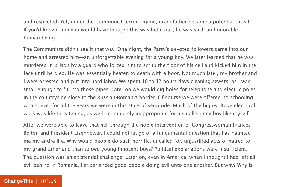and respected. Yet, under the Communist terror regime, grandfather became a potential threat. If you'd known him you would have thought this was ludicrous; he was such an honorable human being.

The Communists didn't see it that way. One night, the Party's devoted followers came into our home and arrested him—an unforgettable evening for a young boy. We later learned that he was murdered in prison by a guard who forced him to scrub the floor of his cell and kicked him in the face until he died. He was essentially beaten to death with a boot. Not much later, my brother and I were arrested and put into hard labor. We spent 10 to 12 hours days cleaning sewers, as I was small enough to fit into those pipes. Later on we would dig holes for telephone and electric poles in the countryside close to the Russian-Romania border. Of course we were offered no schooling whatsoever for all the years we were in this state of servitude. Much of the high-voltage electrical work was life-threatening, as well—completely inappropriate for a small skinny boy like myself.

After we were able to leave that hell through the noble intervention of Congresswoman Frances Bolton and President Eisenhower, I could not let go of a fundamental question that has haunted me my entire life. Why would people do such horrific, uncalled for, unjustified acts of hatred to my grandfather and then to two young innocent boys? Political explanations were insufficient. The question was an existential challenge. Later on, even in America, when I thought I had left all evil behind in Romania, I experienced good people doing evil unto one another. But why? Why is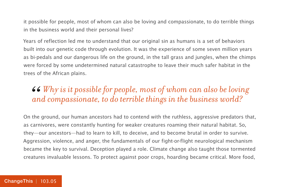it possible for people, most of whom can also be loving and compassionate, to do terrible things in the business world and their personal lives?

Years of reflection led me to understand that our original sin as humans is a set of behaviors built into our genetic code through evolution. It was the experience of some seven million years as bi-pedals and our dangerous life on the ground, in the tall grass and jungles, when the chimps were forced by some undetermined natural catastrophe to leave their much safer habitat in the trees of the African plains.

### *Why is it possible for people, most of whom can also be loving*  66<br>an *and compassionate, to do terrible things in the business world?*

On the ground, our human ancestors had to contend with the ruthless, aggressive predators that, as carnivores, were constantly hunting for weaker creatures roaming their natural habitat. So, they—our ancestors—had to learn to kill, to deceive, and to become brutal in order to survive. Aggression, violence, and anger, the fundamentals of our fight-or-flight neurological mechanism became the key to survival. Deception played a role. Climate change also taught those tormented creatures invaluable lessons. To protect against poor crops, hoarding became critical. More food,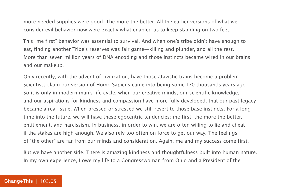more needed supplies were good. The more the better. All the earlier versions of what we consider evil behavior now were exactly what enabled us to keep standing on two feet.

This "me first" behavior was essential to survival. And when one's tribe didn't have enough to eat, finding another Tribe's reserves was fair game—killing and plunder, and all the rest. More than seven million years of DNA encoding and those instincts became wired in our brains and our makeup.

Only recently, with the advent of civilization, have those atavistic trains become a problem. Scientists claim our version of Homo Sapiens came into being some 170 thousands years ago. So it is only in modern man's life cycle, when our creative minds, our scientific knowledge, and our aspirations for kindness and compassion have more fully developed, that our past legacy became a real issue. When pressed or stressed we still revert to those base instincts. For a long time into the future, we will have these egocentric tendencies: me first, the more the better, entitlement, and narcissism. In business, in order to win, we are often willing to lie and cheat if the stakes are high enough. We also rely too often on force to get our way. The feelings of "the other" are far from our minds and consideration. Again, me and my success come first.

But we have another side. There is amazing kindness and thoughtfulness built into human nature. In my own experience, I owe my life to a Congresswoman from Ohio and a President of the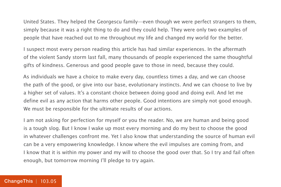United States. They helped the Georgescu family—even though we were perfect strangers to them, simply because it was a right thing to do and they could help. They were only two examples of people that have reached out to me throughout my life and changed my world for the better.

I suspect most every person reading this article has had similar experiences. In the aftermath of the violent Sandy storm last fall, many thousands of people experienced the same thoughtful gifts of kindness. Generous and good people gave to those in need, because they could.

As individuals we have a choice to make every day, countless times a day, and we can choose the path of the good, or give into our base, evolutionary instincts. And we can choose to live by a higher set of values. It's a constant choice between doing good and doing evil. And let me define evil as any action that harms other people. Good intentions are simply not good enough. We must be responsible for the ultimate results of our actions.

I am not asking for perfection for myself or you the reader. No, we are human and being good is a tough slog. But I know I wake up most every morning and do my best to choose the good in whatever challenges confront me. Yet I also know that understanding the source of human evil can be a very empowering knowledge. I know where the evil impulses are coming from, and I know that it is within my power and my will to choose the good over that. So I try and fail often enough, but tomorrow morning I'll pledge to try again.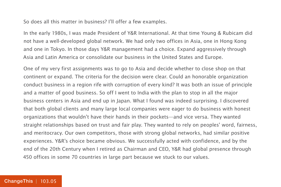So does all this matter in business? I'll offer a few examples.

In the early 1980s, I was made President of Y&R International. At that time Young & Rubicam did not have a well-developed global network. We had only two offices in Asia, one in Hong Kong and one in Tokyo. In those days Y&R management had a choice. Expand aggressively through Asia and Latin America or consolidate our business in the United States and Europe.

One of my very first assignments was to go to Asia and decide whether to close shop on that continent or expand. The criteria for the decision were clear. Could an honorable organization conduct business in a region rife with corruption of every kind? It was both an issue of principle and a matter of good business. So off I went to India with the plan to stop in all the major business centers in Asia and end up in Japan. What I found was indeed surprising. I discovered that both global clients and many large local companies were eager to do business with honest organizations that wouldn't have their hands in their pockets—and vice versa. They wanted straight relationships based on trust and fair play. They wanted to rely on peoples' word, fairness, and meritocracy. Our own competitors, those with strong global networks, had similar positive experiences. Y&R's choice became obvious. We successfully acted with confidence, and by the end of the 20th Century when I retired as Chairman and CEO, Y&R had global presence through 450 offices in some 70 countries in large part because we stuck to our values.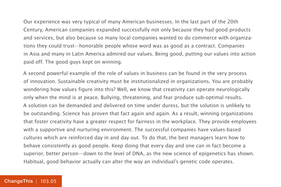Our experience was very typical of many American businesses. In the last part of the 20th Century, American companies expanded successfully not only because they had good products and services, but also because so many local companies wanted to do commerce with organizations they could trust—honorable people whose word was as good as a contract. Companies in Asia and many in Latin America admired our values. Being good, putting our values into action paid off. The good guys kept on winning.

A second powerful example of the role of values in business can be found in the very process of innovation. Sustainable creativity must be institutionalized in organizations. You are probably wondering how values figure into this? Well, we know that creativity can operate neurologically only when the mind is at peace. Bullying, threatening, and fear produce sub-optimal results. A solution can be demanded and delivered on time under duress, but the solution is unlikely to be outstanding. Science has proven that fact again and again. As a result, winning organizations that foster creativity have a greater respect for fairness in the workplace. They provide employees with a supportive and nurturing environment. The successful companies have values-based cultures which are reinforced day in and day out. To do that, the best managers learn how to behave consistently as good people. Keep doing that every day and one can in fact become a superior, better person—down to the level of DNA, as the new science of epigenetics has shown. Habitual, good behavior actually can alter the way an individual's genetic code operates.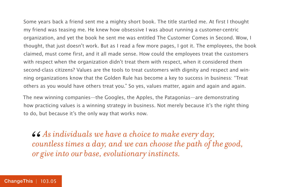Some years back a friend sent me a mighty short book. The title startled me. At first I thought my friend was teasing me. He knew how obsessive I was about running a customer-centric organization, and yet the book he sent me was entitled The Customer Comes in Second. Wow, I thought, that just doesn't work. But as I read a few more pages, I got it. The employees, the book claimed, must come first, and it all made sense. How could the employees treat the customers with respect when the organization didn't treat them with respect, when it considered them second-class citizens? Values are the tools to treat customers with dignity and respect and winning organizations know that the Golden Rule has become a key to success in business: "Treat others as you would have others treat you." So yes, values matter, again and again and again.

The new winning companies—the Googles, the Apples, the Patagonias—are demonstrating how practicing values is a winning strategy in business. Not merely because it's the right thing to do, but because it's the only way that works now.

*As individuals we have a choice to make every day, countless times a day, and we can choose the path of the good, or give into our base, evolutionary instincts.* 66<br> *col*<br> *or*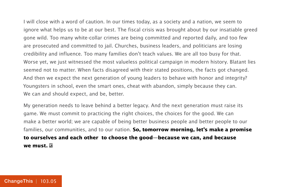I will close with a word of caution. In our times today, as a society and a nation, we seem to ignore what helps us to be at our best. The fiscal crisis was brought about by our insatiable greed gone wild. Too many white-collar crimes are being committed and reported daily, and too few are prosecuted and committed to jail. Churches, business leaders, and politicians are losing credibility and influence. Too many families don't teach values. We are all too busy for that. Worse yet, we just witnessed the most valueless political campaign in modern history. Blatant lies seemed not to matter. When facts disagreed with their stated positions, the facts got changed. And then we expect the next generation of young leaders to behave with honor and integrity? Youngsters in school, even the smart ones, cheat with abandon, simply because they can. We can and should expect, and be, better.

My generation needs to leave behind a better legacy. And the next generation must raise its game. We must commit to practicing the right choices, the choices for the good. We can make a better world; we are capable of being better business people and better people to our families, our communities, and to our nation. **So, tomorrow morning, let's make a promise to ourselves and each other to choose the good—because we can, and because we must.**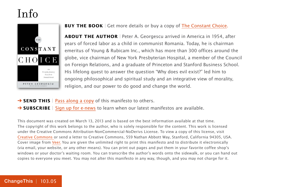### Info



#### **BUY THE BOOK** | Get more details or buy a copy of [The Constant Choice.](http://800ceoread.com/book/show/9781608324071-Constant_Choice)

**ABOUT THE AUTHOR** | Peter A. Georgescu arrived in America in 1954, after years of forced labor as a child in communist Romania. Today, he is chairman emeritus of Young & Rubicam Inc., which has more than 300 offices around the globe, vice chairman of New York Presbyterian Hospital, a member of the Council on Foreign Relations, and a graduate of Princeton and Stanford Business School. His lifelong quest to answer the question "Why does evil exist?" led him to ongoing philosophical and spiritual study and an integrative view of morality, religion, and our power to do good and change the world.

**→ SEND THIS** | [Pass along a copy](http://www.changethis.com/103.05.ConstantChoice/email) of this manifesto to others.

**→ SUBSCRIBE** | Sign up fo[r e-news](http://changethis.com/page/show/e_mail_newsletter) to learn when our latest manifestos are available.

This document was created on March 13, 2013 and is based on the best information available at that time. The copyright of this work belongs to the author, who is solely responsible for the content. This work is licensed under the Creative Commons Attribution-NonCommercial-NoDerivs License. To view a copy of this license, visit [Creative Commons](http://creativecommons.org/licenses/by-nc-nd/2.0/) or send a letter to Creative Commons, 559 Nathan Abbott Way, Stanford, California 94305, USA. Cover image from [Veer.](http://www.veer.com/) You are given the unlimited right to print this manifesto and to distribute it electronically (via email, your website, or any other means). You can print out pages and put them in your favorite coffee shop's windows or your doctor's waiting room. You can transcribe the author's words onto the sidewalk, or you can hand out copies to everyone you meet. You may not alter this manifesto in any way, though, and you may not charge for it.